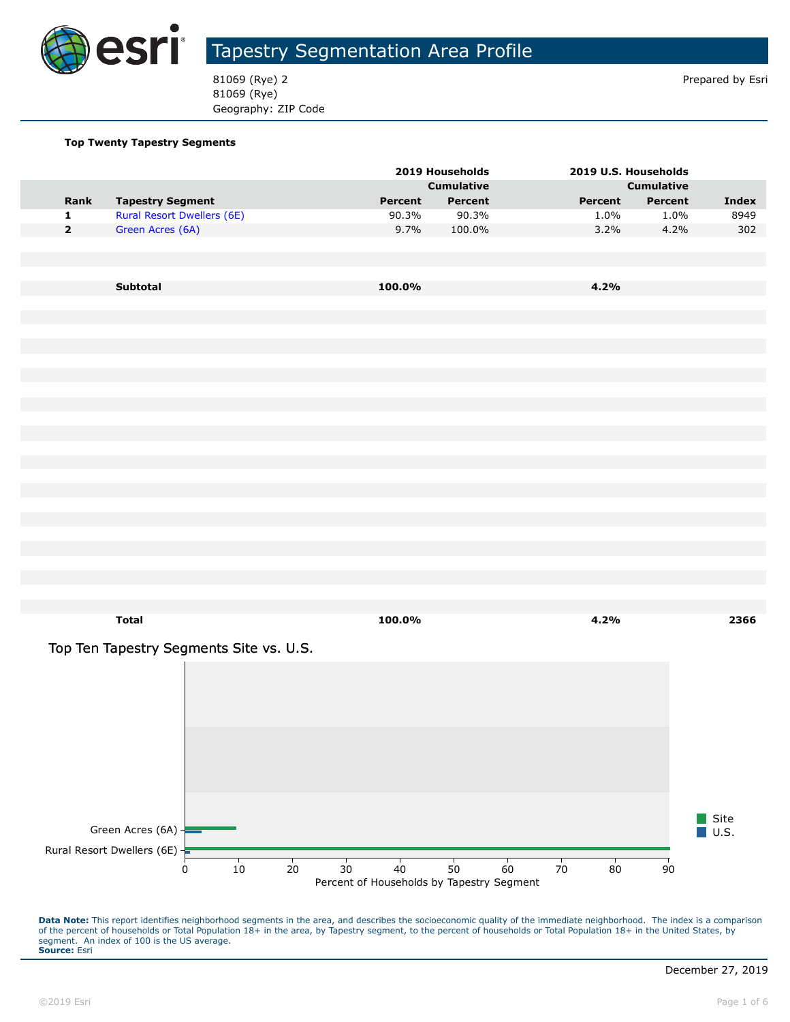

81069 (Rye) 2 Prepared by Esri 81069 (Rye) Geography: ZIP Code

#### **Top Twenty Tapestry Segments**

|                         |                                          |         | 2019 Households   | 2019 U.S. Households |                   |                     |
|-------------------------|------------------------------------------|---------|-------------------|----------------------|-------------------|---------------------|
|                         |                                          |         | <b>Cumulative</b> |                      | <b>Cumulative</b> |                     |
| Rank                    | <b>Tapestry Segment</b>                  | Percent | Percent           | Percent              | Percent           | <b>Index</b>        |
| $\mathbf 1$             | <b>Rural Resort Dwellers (6E)</b>        | 90.3%   | 90.3%             | 1.0%                 | 1.0%              | 8949                |
| $\overline{\mathbf{2}}$ | Green Acres (6A)                         | 9.7%    | 100.0%            | 3.2%                 | 4.2%              | 302                 |
|                         |                                          |         |                   |                      |                   |                     |
|                         |                                          |         |                   |                      |                   |                     |
|                         | Subtotal                                 | 100.0%  |                   | 4.2%                 |                   |                     |
|                         |                                          |         |                   |                      |                   |                     |
|                         |                                          |         |                   |                      |                   |                     |
|                         |                                          |         |                   |                      |                   |                     |
|                         |                                          |         |                   |                      |                   |                     |
|                         |                                          |         |                   |                      |                   |                     |
|                         |                                          |         |                   |                      |                   |                     |
|                         |                                          |         |                   |                      |                   |                     |
|                         |                                          |         |                   |                      |                   |                     |
|                         |                                          |         |                   |                      |                   |                     |
|                         |                                          |         |                   |                      |                   |                     |
|                         |                                          |         |                   |                      |                   |                     |
|                         |                                          |         |                   |                      |                   |                     |
|                         |                                          |         |                   |                      |                   |                     |
|                         |                                          |         |                   |                      |                   |                     |
|                         |                                          |         |                   |                      |                   |                     |
|                         |                                          |         |                   |                      |                   |                     |
|                         |                                          |         |                   |                      |                   |                     |
|                         |                                          |         |                   |                      |                   |                     |
|                         |                                          |         |                   |                      |                   |                     |
|                         |                                          |         |                   |                      |                   |                     |
|                         |                                          |         |                   |                      |                   |                     |
|                         | <b>Total</b>                             | 100.0%  |                   | 4.2%                 |                   | 2366                |
|                         |                                          |         |                   |                      |                   |                     |
|                         | Top Ten Tapestry Segments Site vs. U.S.  |         |                   |                      |                   |                     |
|                         |                                          |         |                   |                      |                   |                     |
|                         |                                          |         |                   |                      |                   |                     |
|                         |                                          |         |                   |                      |                   |                     |
|                         |                                          |         |                   |                      |                   |                     |
|                         |                                          |         |                   |                      |                   |                     |
|                         |                                          |         |                   |                      |                   |                     |
|                         |                                          |         |                   |                      |                   |                     |
|                         |                                          |         |                   |                      |                   |                     |
|                         |                                          |         |                   |                      |                   |                     |
|                         |                                          |         |                   |                      |                   | Site                |
|                         | Green Acres (6A) -                       |         |                   |                      |                   | $\blacksquare$ U.S. |
|                         |                                          |         |                   |                      |                   |                     |
|                         | Rural Resort Dwellers (6E) $\frac{1}{2}$ |         |                   |                      |                   |                     |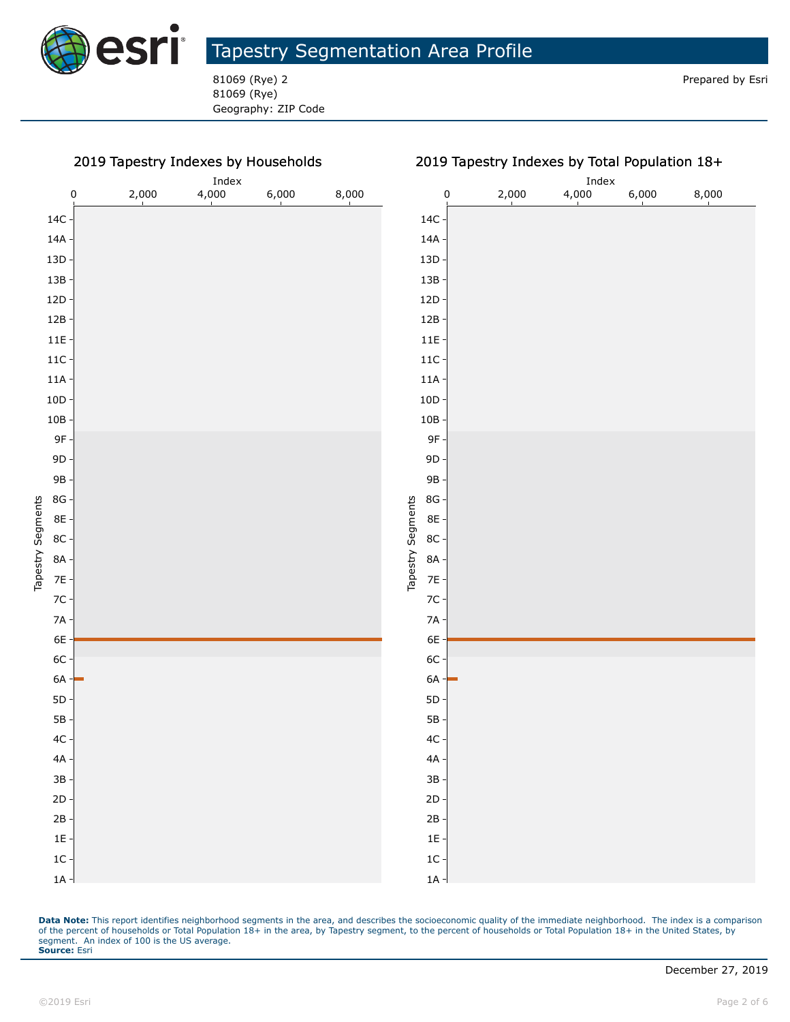

81069 (Rye) Geography: ZIP Code

#### 2019 Tapestry Indexes by Households



Data Note: This report identifies neighborhood segments in the area, and describes the socioeconomic quality of the immediate neighborhood. The index is a comparison of the percent of households or Total Population 18+ in the area, by Tapestry segment, to the percent of households or Total Population 18+ in the United States, by segment. An index of 100 is the US average. **Source:** Esri

Tapestry Segments

Tapestry Segments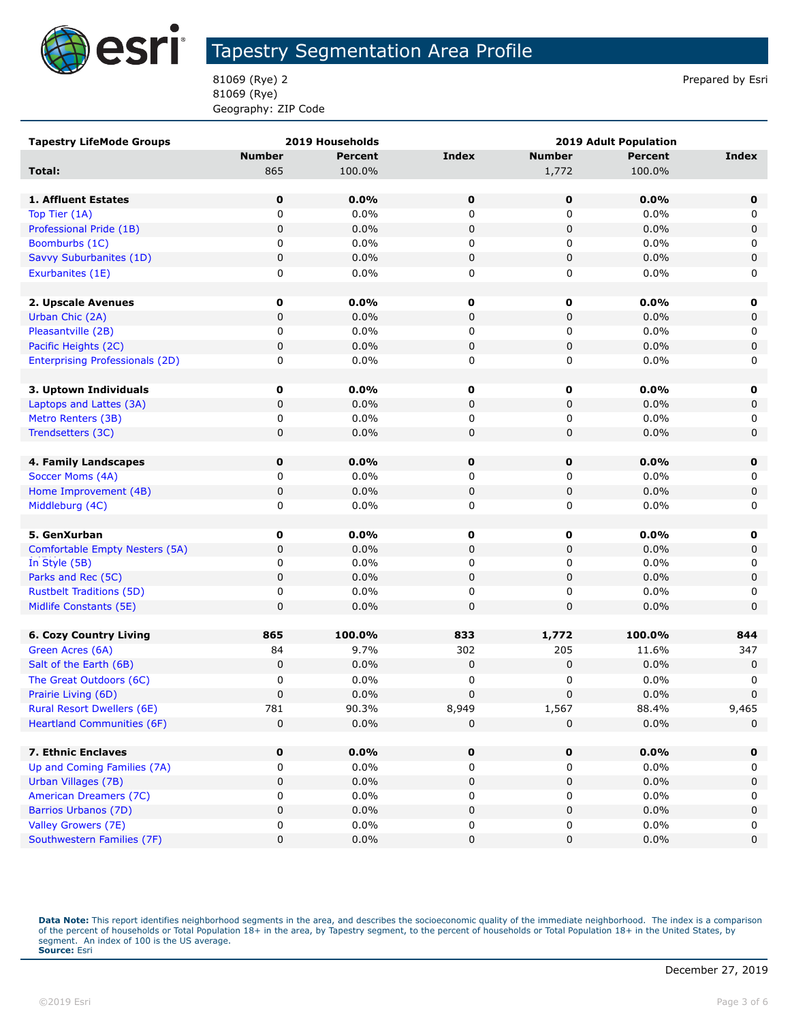

81069 (Rye) 2 Prepared by Esri 81069 (Rye) Geography: ZIP Code

| <b>Tapestry LifeMode Groups</b>        |               | 2019 Households | <b>2019 Adult Population</b> |               |         |              |
|----------------------------------------|---------------|-----------------|------------------------------|---------------|---------|--------------|
|                                        | <b>Number</b> | <b>Percent</b>  | <b>Index</b>                 | <b>Number</b> | Percent | <b>Index</b> |
| Total:                                 | 865           | 100.0%          |                              | 1,772         | 100.0%  |              |
|                                        |               |                 |                              |               |         |              |
| <b>1. Affluent Estates</b>             | $\mathbf 0$   | 0.0%            | 0                            | $\mathbf 0$   | 0.0%    | $\mathbf 0$  |
| Top Tier (1A)                          | $\mathbf 0$   | 0.0%            | 0                            | 0             | 0.0%    | 0            |
| Professional Pride (1B)                | 0             | 0.0%            | $\pmb{0}$                    | 0             | 0.0%    | 0            |
| Boomburbs (1C)                         | 0             | 0.0%            | 0                            | 0             | 0.0%    | 0            |
| Savvy Suburbanites (1D)                | 0             | 0.0%            | $\pmb{0}$                    | 0             | 0.0%    | 0            |
| Exurbanites (1E)                       | 0             | 0.0%            | 0                            | 0             | $0.0\%$ | 0            |
|                                        |               |                 |                              |               |         |              |
| 2. Upscale Avenues                     | 0             | $0.0\%$         | 0                            | $\mathbf 0$   | 0.0%    | 0            |
| Urban Chic (2A)                        | 0             | 0.0%            | $\pmb{0}$                    | 0             | 0.0%    | 0            |
| Pleasantville (2B)                     | 0             | 0.0%            | 0                            | 0             | 0.0%    | 0            |
| Pacific Heights (2C)                   | 0             | 0.0%            | $\pmb{0}$                    | 0             | 0.0%    | 0            |
| <b>Enterprising Professionals (2D)</b> | 0             | 0.0%            | 0                            | 0             | $0.0\%$ | 0            |
|                                        |               |                 |                              |               |         |              |
| 3. Uptown Individuals                  | 0             | $0.0\%$         | 0                            | 0             | $0.0\%$ | 0            |
| Laptops and Lattes (3A)                | 0             | 0.0%            | 0                            | 0             | 0.0%    | 0            |
| Metro Renters (3B)                     | 0             | 0.0%            | 0                            | 0             | $0.0\%$ | 0            |
| Trendsetters (3C)                      | 0             | 0.0%            | 0                            | 0             | 0.0%    | $\mathbf 0$  |
|                                        |               |                 |                              |               |         |              |
| 4. Family Landscapes                   | 0             | $0.0\%$         | 0                            | $\mathbf 0$   | 0.0%    | $\mathbf 0$  |
| Soccer Moms (4A)                       | 0             | $0.0\%$         | 0                            | 0             | 0.0%    | 0            |
| Home Improvement (4B)                  | 0             | 0.0%            | $\pmb{0}$                    | 0             | 0.0%    | 0            |
| Middleburg (4C)                        | 0             | 0.0%            | 0                            | 0             | $0.0\%$ | 0            |
|                                        |               |                 |                              |               |         |              |
| 5. GenXurban                           | 0             | $0.0\%$         | 0                            | $\mathbf 0$   | 0.0%    | 0            |
| Comfortable Empty Nesters (5A)         | 0             | 0.0%            | $\pmb{0}$                    | 0             | 0.0%    | 0            |
| In Style (5B)                          | 0             | 0.0%            | 0                            | 0             | 0.0%    | 0            |
| Parks and Rec (5C)                     | 0             | $0.0\%$         | $\pmb{0}$                    | 0             | 0.0%    | 0            |
| <b>Rustbelt Traditions (5D)</b>        | 0             | 0.0%            | 0                            | 0             | 0.0%    | 0            |
| Midlife Constants (5E)                 | 0             | $0.0\%$         | $\pmb{0}$                    | 0             | 0.0%    | $\mathbf 0$  |
|                                        |               |                 |                              |               |         |              |
| <b>6. Cozy Country Living</b>          | 865           | 100.0%          | 833                          | 1,772         | 100.0%  | 844          |
| Green Acres (6A)                       | 84            | 9.7%            | 302                          | 205           | 11.6%   | 347          |
| Salt of the Earth (6B)                 | 0             | 0.0%            | $\pmb{0}$                    | 0             | 0.0%    | 0            |
| The Great Outdoors (6C)                | 0             | 0.0%            | 0                            | 0             | 0.0%    | 0            |
| Prairie Living (6D)                    | 0             | 0.0%            | $\pmb{0}$                    | 0             | 0.0%    | $\pmb{0}$    |
| Rural Resort Dwellers (6E)             | 781           | 90.3%           | 8,949                        | 1,567         | 88.4%   | 9,465        |
| <b>Heartland Communities (6F)</b>      | 0             | 0.0%            | 0                            | 0             | 0.0%    | 0            |
|                                        |               |                 |                              |               |         |              |
| 7. Ethnic Enclaves                     | 0             | $0.0\%$         | 0                            | 0             | 0.0%    | $\mathbf 0$  |
| Up and Coming Families (7A)            | 0             | $0.0\%$         | 0                            | 0             | $0.0\%$ | 0            |
| Urban Villages (7B)                    | 0             | 0.0%            | 0                            | 0             | 0.0%    | 0            |
| American Dreamers (7C)                 | 0             | 0.0%            | 0                            | 0             | 0.0%    | 0            |
| Barrios Urbanos (7D)                   | 0             | 0.0%            | $\pmb{0}$                    | 0             | 0.0%    | 0            |
| Valley Growers (7E)                    | 0             | 0.0%            | 0                            | 0             | $0.0\%$ | 0            |
| Southwestern Families (7F)             | 0             | $0.0\%$         | $\pmb{0}$                    | 0             | 0.0%    | 0            |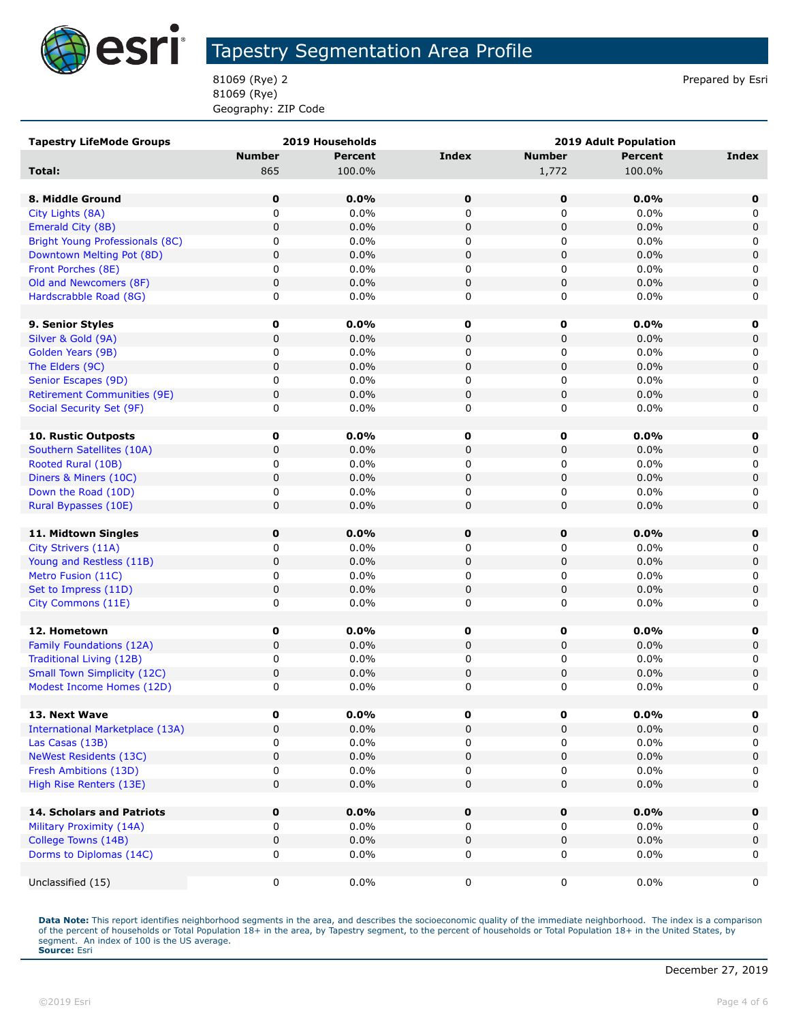

81069 (Rye) 2 Prepared by Esri 81069 (Rye) Geography: ZIP Code

| <b>Tapestry LifeMode Groups</b>        |               | 2019 Households |             | 2019 Adult Population |                |             |
|----------------------------------------|---------------|-----------------|-------------|-----------------------|----------------|-------------|
|                                        | <b>Number</b> | <b>Percent</b>  | Index       | <b>Number</b>         | <b>Percent</b> | Index       |
| Total:                                 | 865           | 100.0%          |             | 1,772                 | 100.0%         |             |
|                                        |               |                 |             |                       |                |             |
| 8. Middle Ground                       | 0             | 0.0%            | $\mathbf 0$ | $\mathbf 0$           | 0.0%           | 0           |
| City Lights (8A)                       | 0             | 0.0%            | 0           | 0                     | 0.0%           | 0           |
| Emerald City (8B)                      | $\pmb{0}$     | 0.0%            | $\pmb{0}$   | 0                     | 0.0%           | 0           |
| <b>Bright Young Professionals (8C)</b> | 0             | $0.0\%$         | 0           | 0                     | 0.0%           | 0           |
| Downtown Melting Pot (8D)              | 0             | 0.0%            | 0           | 0                     | 0.0%           | 0           |
| Front Porches (8E)                     | 0             | 0.0%            | 0           | 0                     | 0.0%           | 0           |
| Old and Newcomers (8F)                 | $\pmb{0}$     | 0.0%            | $\mathbf 0$ | 0                     | 0.0%           | 0           |
| Hardscrabble Road (8G)                 | 0             | 0.0%            | 0           | 0                     | 0.0%           | 0           |
|                                        |               |                 |             |                       |                |             |
| 9. Senior Styles                       | 0             | 0.0%            | $\mathbf 0$ | 0                     | 0.0%           | 0           |
| Silver & Gold (9A)                     | $\pmb{0}$     | 0.0%            | $\pmb{0}$   | $\mathbf 0$           | 0.0%           | $\mathbf 0$ |
| Golden Years (9B)                      | 0             | 0.0%            | 0           | 0                     | 0.0%           | 0           |
| The Elders (9C)                        | $\pmb{0}$     | 0.0%            | $\pmb{0}$   | 0                     | 0.0%           | 0           |
| Senior Escapes (9D)                    | 0             | $0.0\%$         | 0           | 0                     | 0.0%           | 0           |
| <b>Retirement Communities (9E)</b>     | $\pmb{0}$     | 0.0%            | 0           | 0                     | 0.0%           | 0           |
| Social Security Set (9F)               | 0             | 0.0%            | 0           | 0                     | 0.0%           | 0           |
|                                        |               |                 |             |                       |                |             |
| 10. Rustic Outposts                    | 0             | $0.0\%$         | 0           | 0                     | 0.0%           | 0           |
| Southern Satellites (10A)              | 0             | 0.0%            | 0           | 0                     | 0.0%           | 0           |
| Rooted Rural (10B)                     | 0             | 0.0%            | 0           | 0                     | 0.0%           | 0           |
| Diners & Miners (10C)                  | $\pmb{0}$     | 0.0%            | $\pmb{0}$   | 0                     | 0.0%           | 0           |
| Down the Road (10D)                    | 0             | 0.0%            | 0           | 0                     | 0.0%           | 0           |
| Rural Bypasses (10E)                   | $\pmb{0}$     | 0.0%            | $\pmb{0}$   | 0                     | 0.0%           | 0           |
|                                        |               |                 |             |                       |                |             |
| 11. Midtown Singles                    | 0             | $0.0\%$         | 0           | 0                     | 0.0%           | 0           |
| City Strivers (11A)                    | 0             | 0.0%            | 0           | 0                     | 0.0%           | 0           |
| Young and Restless (11B)               | $\pmb{0}$     | 0.0%            | 0           | 0                     | 0.0%           | 0           |
| Metro Fusion (11C)                     | 0             | 0.0%            | 0           | 0                     | 0.0%           | 0           |
| Set to Impress (11D)                   | $\pmb{0}$     | 0.0%            | 0           | 0                     | 0.0%           | 0           |
| City Commons (11E)                     | 0             | 0.0%            | 0           | 0                     | 0.0%           | 0           |
|                                        |               |                 |             |                       |                |             |
| 12. Hometown                           | 0             | $0.0\%$         | $\mathbf 0$ | 0                     | 0.0%           | 0           |
| Family Foundations (12A)               | $\pmb{0}$     | 0.0%            | 0           | 0                     | 0.0%           | 0           |
| <b>Traditional Living (12B)</b>        | 0             | 0.0%            | 0           | 0                     | 0.0%           | 0           |
| <b>Small Town Simplicity (12C)</b>     | $\pmb{0}$     | 0.0%            | 0           | 0                     | 0.0%           | 0           |
| Modest Income Homes (12D)              | $\pmb{0}$     | 0.0%            | 0           | 0                     | 0.0%           | 0           |
|                                        |               |                 |             |                       |                |             |
| 13. Next Wave                          | 0             | 0.0%            | 0           | 0                     | $0.0\%$        | o           |
| <b>International Marketplace (13A)</b> | $\pmb{0}$     | 0.0%            | 0           | 0                     | 0.0%           | 0           |
| Las Casas (13B)                        | 0             | 0.0%            | 0           | 0                     | 0.0%           | 0           |
| <b>NeWest Residents (13C)</b>          | $\pmb{0}$     | 0.0%            | $\pmb{0}$   | $\mathbf 0$           | 0.0%           | 0           |
| Fresh Ambitions (13D)                  | 0             | $0.0\%$         | 0           | 0                     | $0.0\%$        | 0           |
| High Rise Renters (13E)                | $\pmb{0}$     | 0.0%            | 0           | 0                     | 0.0%           | 0           |
| <b>14. Scholars and Patriots</b>       | 0             | 0.0%            | $\mathbf 0$ | $\mathbf 0$           | 0.0%           | 0           |
| Military Proximity (14A)               | 0             | 0.0%            | 0           | 0                     | $0.0\%$        | 0           |
| College Towns (14B)                    | $\pmb{0}$     | 0.0%            | 0           | 0                     | 0.0%           | 0           |
| Dorms to Diplomas (14C)                | 0             | 0.0%            | 0           | 0                     | 0.0%           | 0           |
|                                        |               |                 |             |                       |                |             |
| Unclassified (15)                      | 0             | 0.0%            | 0           | 0                     | $0.0\%$        | 0           |
|                                        |               |                 |             |                       |                |             |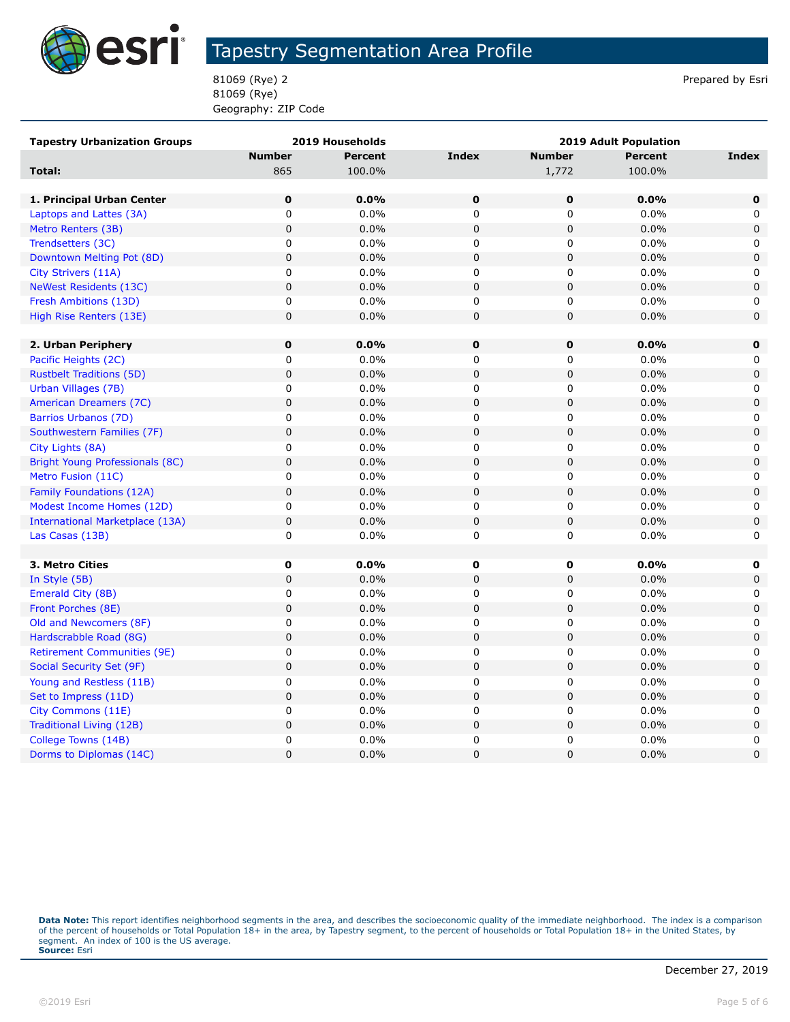

81069 (Rye) 2 Prepared by Esri 81069 (Rye) Geography: ZIP Code

| <b>Tapestry Urbanization Groups</b>    |               | 2019 Households | 2019 Adult Population |               |                |                     |
|----------------------------------------|---------------|-----------------|-----------------------|---------------|----------------|---------------------|
|                                        | <b>Number</b> | <b>Percent</b>  | <b>Index</b>          | <b>Number</b> | <b>Percent</b> | <b>Index</b>        |
| Total:                                 | 865           | 100.0%          |                       | 1,772         | 100.0%         |                     |
|                                        |               |                 |                       |               |                |                     |
| 1. Principal Urban Center              | $\mathbf 0$   | 0.0%            | $\bf{0}$              | 0             | 0.0%           | $\mathbf 0$         |
| Laptops and Lattes (3A)                | $\mathbf 0$   | 0.0%            | 0                     | 0             | 0.0%           | 0                   |
| Metro Renters (3B)                     | $\mathbf 0$   | 0.0%            | $\mathbf 0$           | $\mathbf 0$   | 0.0%           | $\mathbf 0$         |
| Trendsetters (3C)                      | 0             | 0.0%            | 0                     | $\mathbf 0$   | 0.0%           | 0                   |
| Downtown Melting Pot (8D)              | $\mathsf 0$   | 0.0%            | $\pmb{0}$             | $\mathbf 0$   | 0.0%           | $\mathbf 0$         |
| City Strivers (11A)                    | $\mathbf 0$   | 0.0%            | $\mathbf 0$           | 0             | 0.0%           | 0                   |
| <b>NeWest Residents (13C)</b>          | $\mathbf 0$   | 0.0%            | $\mathbf 0$           | $\pmb{0}$     | 0.0%           | $\mathbf 0$         |
| Fresh Ambitions (13D)                  | 0             | 0.0%            | 0                     | 0             | 0.0%           | 0                   |
| High Rise Renters (13E)                | $\pmb{0}$     | 0.0%            | $\mathbf 0$           | $\mathbf 0$   | 0.0%           | $\mathbf 0$         |
|                                        |               |                 |                       |               |                |                     |
| 2. Urban Periphery                     | $\bf{0}$      | 0.0%            | $\pmb{0}$             | 0             | 0.0%           | $\bf{0}$            |
| Pacific Heights (2C)                   | 0             | $0.0\%$         | 0                     | 0             | 0.0%           | 0                   |
| <b>Rustbelt Traditions (5D)</b>        | $\mathbf 0$   | 0.0%            | $\mathbf 0$           | 0             | 0.0%           | $\mathbf 0$         |
| Urban Villages (7B)                    | $\pmb{0}$     | 0.0%            | $\mathbf 0$           | 0             | 0.0%           | 0                   |
| American Dreamers (7C)                 | $\pmb{0}$     | 0.0%            | $\pmb{0}$             | $\pmb{0}$     | 0.0%           | $\pmb{0}$           |
| Barrios Urbanos (7D)                   | 0             | 0.0%            | 0                     | 0             | 0.0%           | 0                   |
| Southwestern Families (7F)             | $\mathbf 0$   | 0.0%            | $\mathbf 0$           | $\pmb{0}$     | 0.0%           | $\mathbf 0$         |
| City Lights (8A)                       | $\pmb{0}$     | $0.0\%$         | 0                     | $\mathbf 0$   | 0.0%           | 0                   |
| <b>Bright Young Professionals (8C)</b> | $\pmb{0}$     | 0.0%            | $\mathbf 0$           | 0             | 0.0%           | $\mathbf 0$         |
| Metro Fusion (11C)                     | $\pmb{0}$     | 0.0%            | 0                     | 0             | 0.0%           | 0                   |
| Family Foundations (12A)               | $\mathbf 0$   | 0.0%            | $\pmb{0}$             | $\mathbf 0$   | 0.0%           | $\mathsf{O}\xspace$ |
| Modest Income Homes (12D)              | $\mathsf 0$   | 0.0%            | $\mathbf 0$           | 0             | $0.0\%$        | 0                   |
| International Marketplace (13A)        | $\mathbf 0$   | 0.0%            | $\mathbf 0$           | 0             | 0.0%           | $\mathbf 0$         |
| Las Casas (13B)                        | 0             | 0.0%            | 0                     | 0             | 0.0%           | 0                   |
|                                        |               |                 |                       |               |                |                     |
| 3. Metro Cities                        | 0             | 0.0%            | 0                     | 0             | $0.0\%$        | 0                   |
| In Style (5B)                          | $\pmb{0}$     | 0.0%            | $\pmb{0}$             | 0             | 0.0%           | $\mathbf 0$         |
| Emerald City (8B)                      | $\pmb{0}$     | 0.0%            | 0                     | 0             | 0.0%           | 0                   |
| Front Porches (8E)                     | $\mathbf 0$   | 0.0%            | $\mathbf 0$           | 0             | 0.0%           | $\mathsf 0$         |
| Old and Newcomers (8F)                 | $\mathsf 0$   | 0.0%            | $\mathbf 0$           | 0             | 0.0%           | 0                   |
| Hardscrabble Road (8G)                 | $\pmb{0}$     | 0.0%            | $\pmb{0}$             | $\pmb{0}$     | 0.0%           | $\pmb{0}$           |
| <b>Retirement Communities (9E)</b>     | 0             | 0.0%            | 0                     | 0             | 0.0%           | 0                   |
| Social Security Set (9F)               | $\mathbf 0$   | 0.0%            | $\mathbf 0$           | 0             | 0.0%           | $\mathbf 0$         |
| Young and Restless (11B)               | $\pmb{0}$     | $0.0\%$         | 0                     | 0             | 0.0%           | 0                   |
| Set to Impress (11D)                   | 0             | 0.0%            | $\mathbf 0$           | 0             | 0.0%           | $\mathbf 0$         |
| City Commons (11E)                     | 0             | 0.0%            | 0                     | 0             | 0.0%           | 0                   |
| Traditional Living (12B)               | $\mathbf 0$   | 0.0%            | $\pmb{0}$             | $\pmb{0}$     | 0.0%           | $\mathbf 0$         |
| College Towns (14B)                    | 0             | 0.0%            | $\mathbf 0$           | 0             | 0.0%           | 0                   |
| Dorms to Diplomas (14C)                | 0             | 0.0%            | $\mathbf 0$           | $\mathbf 0$   | 0.0%           | $\mathbf 0$         |